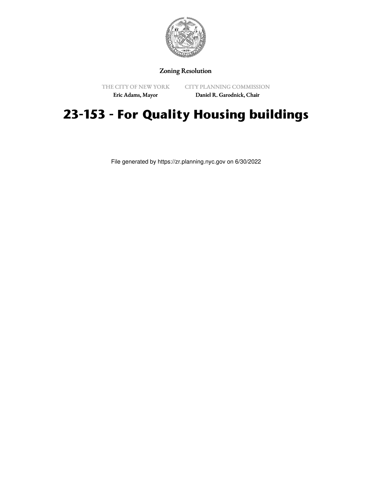

## Zoning Resolution

THE CITY OF NEW YORK

CITY PLANNING COMMISSION

Eric Adams, Mayor

Daniel R. Garodnick, Chair

## **23-153 - For Quality Housing buildings**

File generated by https://zr.planning.nyc.gov on 6/30/2022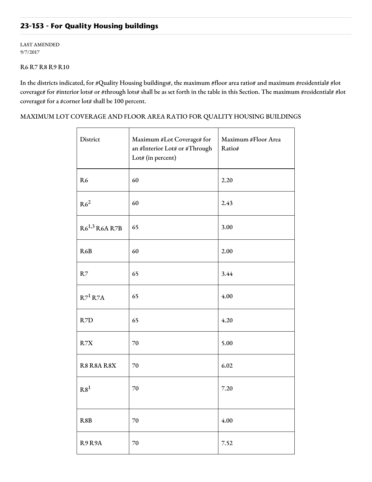## **23-153 - For Quality Housing buildings**

LAST AMENDED 9/7/2017

## R6 R7 R8 R9 R10

In the districts indicated, for #Quality Housing buildings#, the maximum #floor area ratio# and maximum #residential# #lot coverage# for #interior lots# or #through lots# shall be as set forth in the table in this Section. The maximum #residential# #lot coverage# for a #corner lot# shall be 100 percent.

MAXIMUM LOT COVERAGE AND FLOOR AREA RATIO FOR QUALITY HOUSING BUILDINGS

| District           | Maximum #Lot Coverage# for<br>an #Interior Lot# or #Through<br>Lot# (in percent) | Maximum #Floor Area<br>Ratio# |
|--------------------|----------------------------------------------------------------------------------|-------------------------------|
| R <sub>6</sub>     | 60                                                                               | 2.20                          |
| R6 <sup>2</sup>    | 60                                                                               | 2.43                          |
| $R6^{1,3}$ R6A R7B | 65                                                                               | 3.00                          |
| R <sub>6</sub> B   | 60                                                                               | 2.00                          |
| R7                 | 65                                                                               | 3.44                          |
| $R7^1 R7A$         | 65                                                                               | 4.00                          |
| R7D                | 65                                                                               | 4.20                          |
| R7X                | 70                                                                               | 5.00                          |
| R8 R8A R8X         | 70                                                                               | 6.02                          |
| R8 <sup>1</sup>    | 70                                                                               | 7.20                          |
| R8B                | 70                                                                               | 4.00                          |
| R9R9A              | 70                                                                               | 7.52                          |